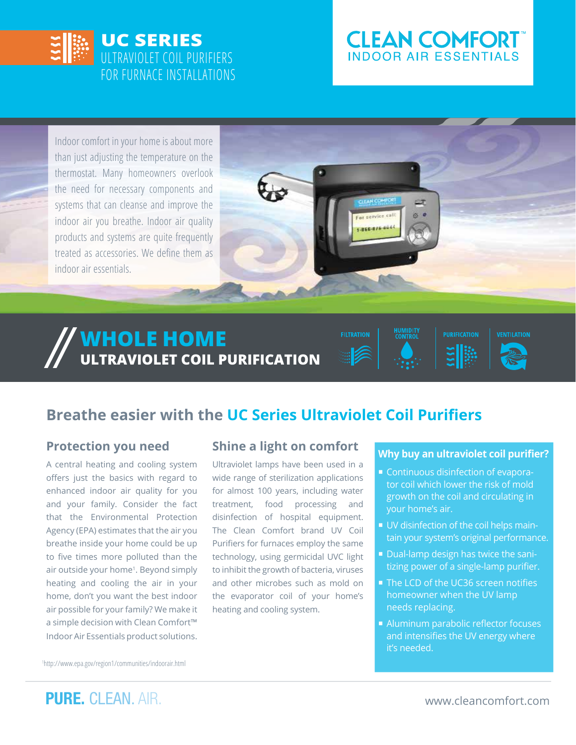

# **CLEAN COMFORT INDOOR AIR ESSENTIALS**

Indoor comfort in your home is about more than just adjusting the temperature on the thermostat. Many homeowners overlook the need for necessary components and systems that can cleanse and improve the indoor air you breathe. Indoor air quality products and systems are quite frequently treated as accessories. We define them as indoor air essentials.



# **WHOLE HOME ULTRAVIOLET COIL PURIFICATION**



## **Protection you need**

A central heating and cooling system offers just the basics with regard to enhanced indoor air quality for you and your family. Consider the fact that the Environmental Protection Agency (EPA) estimates that the air you breathe inside your home could be up to five times more polluted than the air outside your home<sup>1</sup>. Beyond simply heating and cooling the air in your home, don't you want the best indoor air possible for your family? We make it a simple decision with Clean Comfort™ Indoor Air Essentials product solutions.

## **Shine a light on comfort**

Ultraviolet lamps have been used in a wide range of sterilization applications for almost 100 years, including water treatment, food processing and disinfection of hospital equipment. The Clean Comfort brand UV Coil Purifiers for furnaces employ the same technology, using germicidal UVC light to inhibit the growth of bacteria, viruses and other microbes such as mold on the evaporator coil of your home's heating and cooling system.

#### **Why buy an ultraviolet coil purifier?**

**PURIFICATION** 

**VENTILATION** 

- Continuous disinfection of evaporator coil which lower the risk of mold growth on the coil and circulating in your home's air.
- UV disinfection of the coil helps maintain your system's original performance.
- Dual-lamp design has twice the sanitizing power of a single-lamp purifier.
- The LCD of the UC36 screen notifies homeowner when the UV lamp needs replacing.
- Aluminum parabolic reflector focuses and intensifies the UV energy where it's needed.

1 http://www.epa.gov/region1/communities/indoorair.html

**PURE.** CLEAN. AIR. www.cleancomfort.com